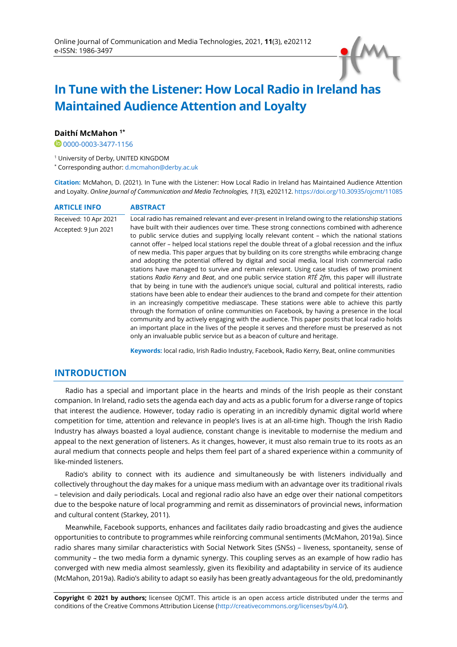# **In Tune with the Listener: How Local Radio in Ireland has Maintained Audience Attention and Loyalty**

### **Daithí McMahon 1\***

00000003-3477-1156

<sup>1</sup> University of Derby, UNITED KINGDOM

\* Corresponding author: [d.mcmahon@derby.ac.uk](mailto:d.mcmahon@derby.ac.uk) 

**Citation:** McMahon, D. (2021). In Tune with the Listener: How Local Radio in Ireland has Maintained Audience Attention and Loyalty. *Online Journal of Communication and Media Technologies, 11*(3), e202112[. https://doi.org/10.30935/ojcmt/11085](https://doi.org/10.30935/ojcmt/11085)

| <b>ARTICLE INFO</b>   | <b>ABSTRACT</b>                                                                                                                                                                                                                                                                                                                                                                                                                                                                                                                                                                                                                                                                                                                                                                                                                                                                                                                                                                                                                                                                                                                                                                                                                                                                                                                                                                          |
|-----------------------|------------------------------------------------------------------------------------------------------------------------------------------------------------------------------------------------------------------------------------------------------------------------------------------------------------------------------------------------------------------------------------------------------------------------------------------------------------------------------------------------------------------------------------------------------------------------------------------------------------------------------------------------------------------------------------------------------------------------------------------------------------------------------------------------------------------------------------------------------------------------------------------------------------------------------------------------------------------------------------------------------------------------------------------------------------------------------------------------------------------------------------------------------------------------------------------------------------------------------------------------------------------------------------------------------------------------------------------------------------------------------------------|
| Received: 10 Apr 2021 | Local radio has remained relevant and ever-present in Ireland owing to the relationship stations                                                                                                                                                                                                                                                                                                                                                                                                                                                                                                                                                                                                                                                                                                                                                                                                                                                                                                                                                                                                                                                                                                                                                                                                                                                                                         |
| Accepted: 9 Jun 2021  | have built with their audiences over time. These strong connections combined with adherence<br>to public service duties and supplying locally relevant content – which the national stations<br>cannot offer - helped local stations repel the double threat of a global recession and the influx<br>of new media. This paper argues that by building on its core strengths while embracing change<br>and adopting the potential offered by digital and social media, local Irish commercial radio<br>stations have managed to survive and remain relevant. Using case studies of two prominent<br>stations Radio Kerry and Beat, and one public service station RTÉ 2fm, this paper will illustrate<br>that by being in tune with the audience's unique social, cultural and political interests, radio<br>stations have been able to endear their audiences to the brand and compete for their attention<br>in an increasingly competitive mediascape. These stations were able to achieve this partly<br>through the formation of online communities on Facebook, by having a presence in the local<br>community and by actively engaging with the audience. This paper posits that local radio holds<br>an important place in the lives of the people it serves and therefore must be preserved as not<br>only an invaluable public service but as a beacon of culture and heritage. |

**Keywords:** local radio, Irish Radio Industry, Facebook, Radio Kerry, Beat, online communities

## **INTRODUCTION**

Radio has a special and important place in the hearts and minds of the Irish people as their constant companion. In Ireland, radio sets the agenda each day and acts as a public forum for a diverse range of topics that interest the audience. However, today radio is operating in an incredibly dynamic digital world where competition for time, attention and relevance in people's lives is at an all-time high. Though the Irish Radio Industry has always boasted a loyal audience, constant change is inevitable to modernise the medium and appeal to the next generation of listeners. As it changes, however, it must also remain true to its roots as an aural medium that connects people and helps them feel part of a shared experience within a community of like-minded listeners.

Radio's ability to connect with its audience and simultaneously be with listeners individually and collectively throughout the day makes for a unique mass medium with an advantage over its traditional rivals – television and daily periodicals. Local and regional radio also have an edge over their national competitors due to the bespoke nature of local programming and remit as disseminators of provincial news, information and cultural content (Starkey, 2011).

Meanwhile, Facebook supports, enhances and facilitates daily radio broadcasting and gives the audience opportunities to contribute to programmes while reinforcing communal sentiments (McMahon, 2019a). Since radio shares many similar characteristics with Social Network Sites (SNSs) – liveness, spontaneity, sense of community – the two media form a dynamic synergy. This coupling serves as an example of how radio has converged with new media almost seamlessly, given its flexibility and adaptability in service of its audience (McMahon, 2019a). Radio's ability to adapt so easily has been greatly advantageous for the old, predominantly

**Copyright © 2021 by authors;** licensee OJCMT. This article is an open access article distributed under the terms and conditions of the Creative Commons Attribution License [\(http://creativecommons.org/licenses/by/4.0/\).](http://creativecommons.org/licenses/by/4.0/)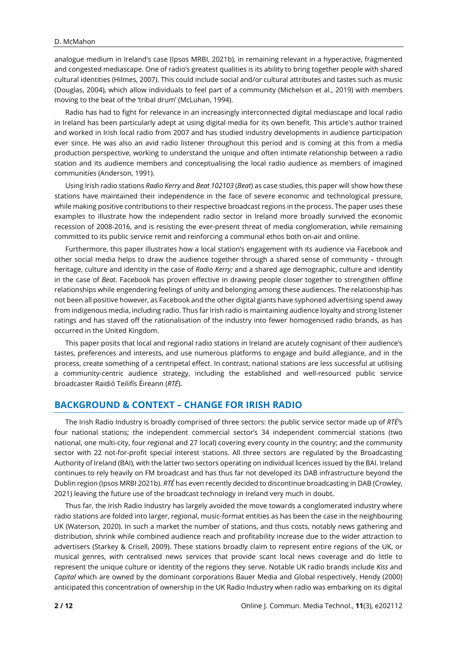analogue medium in Ireland's case (Ipsos MRBI, 2021b), in remaining relevant in a hyperactive, fragmented and congested mediascape. One of radio's greatest qualities is its ability to bring together people with shared cultural identities (Hilmes, 2007). This could include social and/or cultural attributes and tastes such as music (Douglas, 2004), which allow individuals to feel part of a community (Michelson et al., 2019) with members moving to the beat of the 'tribal drum' (McLuhan, 1994).

Radio has had to fight for relevance in an increasingly interconnected digital mediascape and local radio in Ireland has been particularly adept at using digital media for its own benefit. This article's author trained and worked in Irish local radio from 2007 and has studied industry developments in audience participation ever since. He was also an avid radio listener throughout this period and is coming at this from a media production perspective, working to understand the unique and often intimate relationship between a radio station and its audience members and conceptualising the local radio audience as members of imagined communities (Anderson, 1991).

Using Irish radio stations *Radio Kerry* and *Beat 102103* (*Beat*) as case studies, this paper will show how these stations have maintained their independence in the face of severe economic and technological pressure, while making positive contributions to their respective broadcast regions in the process. The paper uses these examples to illustrate how the independent radio sector in Ireland more broadly survived the economic recession of 2008-2016, and is resisting the ever-present threat of media conglomeration, while remaining committed to its public service remit and reinforcing a communal ethos both on-air and online.

Furthermore, this paper illustrates how a local station's engagement with its audience via Facebook and other social media helps to draw the audience together through a shared sense of community – through heritage, culture and identity in the case of *Radio Kerry;* and a shared age demographic, culture and identity in the case of *Beat*. Facebook has proven effective in drawing people closer together to strengthen offline relationships while engendering feelings of unity and belonging among these audiences. The relationship has not been all positive however, as Facebook and the other digital giants have syphoned advertising spend away from indigenous media, including radio. Thus far Irish radio is maintaining audience loyalty and strong listener ratings and has staved off the rationalisation of the industry into fewer homogenised radio brands, as has occurred in the United Kingdom.

This paper posits that local and regional radio stations in Ireland are acutely cognisant of their audience's tastes, preferences and interests, and use numerous platforms to engage and build allegiance, and in the process, create something of a centripetal effect. In contrast, national stations are less successful at utilising a community-centric audience strategy, including the established and well-resourced public service broadcaster Raidió Teilifís Éireann (*RTÉ*).

## **BACKGROUND & CONTEXT – CHANGE FOR IRISH RADIO**

The Irish Radio Industry is broadly comprised of three sectors: the public service sector made up of *RTÉ'*s four national stations; the independent commercial sector's 34 independent commercial stations (two national, one multi-city, four regional and 27 local) covering every county in the country; and the community sector with 22 not-for-profit special interest stations. All three sectors are regulated by the Broadcasting Authority of Ireland (BAI), with the latter two sectors operating on individual licences issued by the BAI. Ireland continues to rely heavily on FM broadcast and has thus far not developed its DAB infrastructure beyond the Dublin region (Ipsos MRBI 2021b). *RTÉ* has even recently decided to discontinue broadcasting in DAB (Crowley, 2021) leaving the future use of the broadcast technology in Ireland very much in doubt.

Thus far, the Irish Radio Industry has largely avoided the move towards a conglomerated industry where radio stations are folded into larger, regional, music-format entities as has been the case in the neighbouring UK (Waterson, 2020). In such a market the number of stations, and thus costs, notably news gathering and distribution, shrink while combined audience reach and profitability increase due to the wider attraction to advertisers (Starkey & Crisell, 2009). These stations broadly claim to represent entire regions of the UK, or musical genres, with centralised news services that provide scant local news coverage and do little to represent the unique culture or identity of the regions they serve. Notable UK radio brands include *Kiss* and *Capital* which are owned by the dominant corporations Bauer Media and Global respectively. Hendy (2000) anticipated this concentration of ownership in the UK Radio Industry when radio was embarking on its digital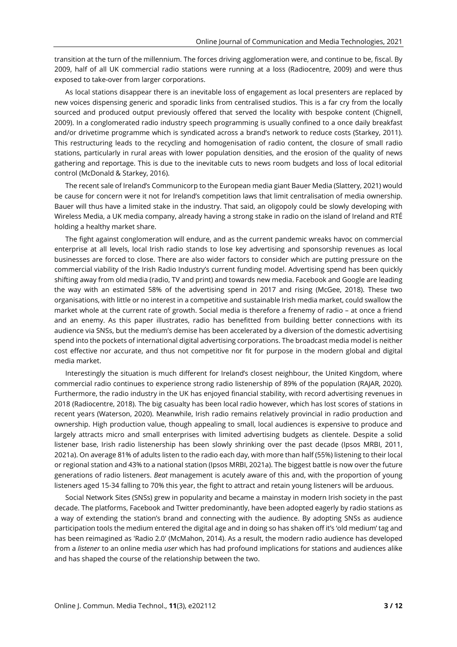transition at the turn of the millennium. The forces driving agglomeration were, and continue to be, fiscal. By 2009, half of all UK commercial radio stations were running at a loss (Radiocentre, 2009) and were thus exposed to take-over from larger corporations.

As local stations disappear there is an inevitable loss of engagement as local presenters are replaced by new voices dispensing generic and sporadic links from centralised studios. This is a far cry from the locally sourced and produced output previously offered that served the locality with bespoke content (Chignell, 2009). In a conglomerated radio industry speech programming is usually confined to a once daily breakfast and/or drivetime programme which is syndicated across a brand's network to reduce costs (Starkey, 2011). This restructuring leads to the recycling and homogenisation of radio content, the closure of small radio stations, particularly in rural areas with lower population densities, and the erosion of the quality of news gathering and reportage. This is due to the inevitable cuts to news room budgets and loss of local editorial control (McDonald & Starkey, 2016).

The recent sale of Ireland's Communicorp to the European media giant Bauer Media (Slattery, 2021) would be cause for concern were it not for Ireland's competition laws that limit centralisation of media ownership. Bauer will thus have a limited stake in the industry. That said, an oligopoly could be slowly developing with Wireless Media, a UK media company, already having a strong stake in radio on the island of Ireland and RTÉ holding a healthy market share.

The fight against conglomeration will endure, and as the current pandemic wreaks havoc on commercial enterprise at all levels, local Irish radio stands to lose key advertising and sponsorship revenues as local businesses are forced to close. There are also wider factors to consider which are putting pressure on the commercial viability of the Irish Radio Industry's current funding model. Advertising spend has been quickly shifting away from old media (radio, TV and print) and towards new media. Facebook and Google are leading the way with an estimated 58% of the advertising spend in 2017 and rising (McGee, 2018). These two organisations, with little or no interest in a competitive and sustainable Irish media market, could swallow the market whole at the current rate of growth. Social media is therefore a frenemy of radio – at once a friend and an enemy. As this paper illustrates, radio has benefitted from building better connections with its audience via SNSs, but the medium's demise has been accelerated by a diversion of the domestic advertising spend into the pockets of international digital advertising corporations. The broadcast media model is neither cost effective nor accurate, and thus not competitive nor fit for purpose in the modern global and digital media market.

Interestingly the situation is much different for Ireland's closest neighbour, the United Kingdom, where commercial radio continues to experience strong radio listenership of 89% of the population (RAJAR, 2020). Furthermore, the radio industry in the UK has enjoyed financial stability, with record advertising revenues in 2018 (Radiocentre, 2018). The big casualty has been local radio however, which has lost scores of stations in recent years (Waterson, 2020). Meanwhile, Irish radio remains relatively provincial in radio production and ownership. High production value, though appealing to small, local audiences is expensive to produce and largely attracts micro and small enterprises with limited advertising budgets as clientele. Despite a solid listener base, Irish radio listenership has been slowly shrinking over the past decade (Ipsos MRBI, 2011, 2021a). On average 81% of adults listen to the radio each day, with more than half (55%) listening to their local or regional station and 43% to a national station (Ipsos MRBI, 2021a). The biggest battle is now over the future generations of radio listeners. *Beat* management is acutely aware of this and, with the proportion of young listeners aged 15-34 falling to 70% this year, the fight to attract and retain young listeners will be arduous.

Social Network Sites (SNSs) grew in popularity and became a mainstay in modern Irish society in the past decade. The platforms, Facebook and Twitter predominantly, have been adopted eagerly by radio stations as a way of extending the station's brand and connecting with the audience. By adopting SNSs as audience participation tools the medium entered the digital age and in doing so has shaken off it's 'old medium' tag and has been reimagined as 'Radio 2.0' (McMahon, 2014). As a result, the modern radio audience has developed from a *listener* to an online media *user* which has had profound implications for stations and audiences alike and has shaped the course of the relationship between the two.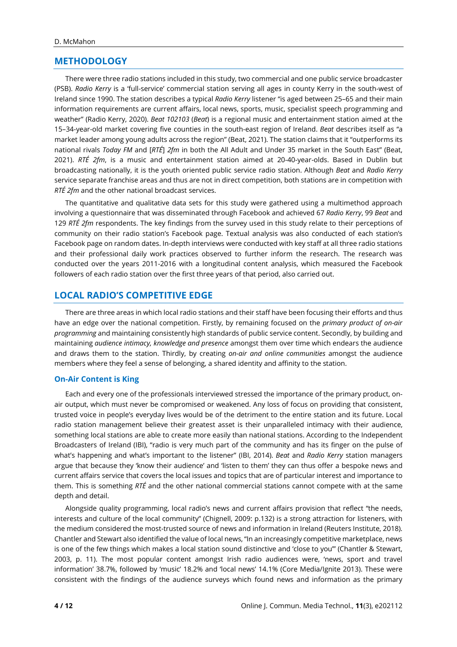## **METHODOLOGY**

There were three radio stations included in this study, two commercial and one public service broadcaster (PSB). *Radio Kerry* is a 'full-service' commercial station serving all ages in county Kerry in the south-west of Ireland since 1990. The station describes a typical *Radio Kerry* listener "is aged between 25–65 and their main information requirements are current affairs, local news, sports, music, specialist speech programming and weather" (Radio Kerry, 2020). *Beat 102103* (*Beat*) is a regional music and entertainment station aimed at the 15–34-year-old market covering five counties in the south-east region of Ireland. *Beat* describes itself as "a market leader among young adults across the region" (Beat, 2021). The station claims that it "outperforms its national rivals *Today FM* and [*RTÉ*] *2fm* in both the All Adult and Under 35 market in the South East" (Beat, 2021). *RTÉ 2fm*, is a music and entertainment station aimed at 20-40-year-olds. Based in Dublin but broadcasting nationally, it is the youth oriented public service radio station. Although *Beat* and *Radio Kerry* service separate franchise areas and thus are not in direct competition, both stations are in competition with *RTÉ 2fm* and the other national broadcast services.

The quantitative and qualitative data sets for this study were gathered using a multimethod approach involving a questionnaire that was disseminated through Facebook and achieved 67 *Radio Kerry*, 99 *Beat* and 129 *RTÉ 2fm* respondents. The key findings from the survey used in this study relate to their perceptions of community on their radio station's Facebook page. Textual analysis was also conducted of each station's Facebook page on random dates. In-depth interviews were conducted with key staff at all three radio stations and their professional daily work practices observed to further inform the research. The research was conducted over the years 2011-2016 with a longitudinal content analysis, which measured the Facebook followers of each radio station over the first three years of that period, also carried out.

## **LOCAL RADIO'S COMPETITIVE EDGE**

There are three areas in which local radio stations and their staff have been focusing their efforts and thus have an edge over the national competition. Firstly, by remaining focused on the *primary product of on-air programming* and maintaining consistently high standards of public service content. Secondly, by building and maintaining *audience intimacy, knowledge and presence* amongst them over time which endears the audience and draws them to the station. Thirdly, by creating *on-air and online communities* amongst the audience members where they feel a sense of belonging, a shared identity and affinity to the station.

#### **On-Air Content is King**

Each and every one of the professionals interviewed stressed the importance of the primary product, onair output, which must never be compromised or weakened. Any loss of focus on providing that consistent, trusted voice in people's everyday lives would be of the detriment to the entire station and its future. Local radio station management believe their greatest asset is their unparalleled intimacy with their audience, something local stations are able to create more easily than national stations. According to the Independent Broadcasters of Ireland (IBI), "radio is very much part of the community and has its finger on the pulse of what's happening and what's important to the listener" (IBI, 2014). *Beat* and *Radio Kerry* station managers argue that because they 'know their audience' and 'listen to them' they can thus offer a bespoke news and current affairs service that covers the local issues and topics that are of particular interest and importance to them. This is something *RTÉ* and the other national commercial stations cannot compete with at the same depth and detail.

Alongside quality programming, local radio's news and current affairs provision that reflect "the needs, interests and culture of the local community" (Chignell, 2009: p.132) is a strong attraction for listeners, with the medium considered the most-trusted source of news and information in Ireland (Reuters Institute, 2018). Chantler and Stewart also identified the value of local news, "In an increasingly competitive marketplace, news is one of the few things which makes a local station sound distinctive and 'close to you'" (Chantler & Stewart, 2003, p. 11). The most popular content amongst Irish radio audiences were, 'news, sport and travel information' 38.7%, followed by 'music' 18.2% and 'local news' 14.1% (Core Media/Ignite 2013). These were consistent with the findings of the audience surveys which found news and information as the primary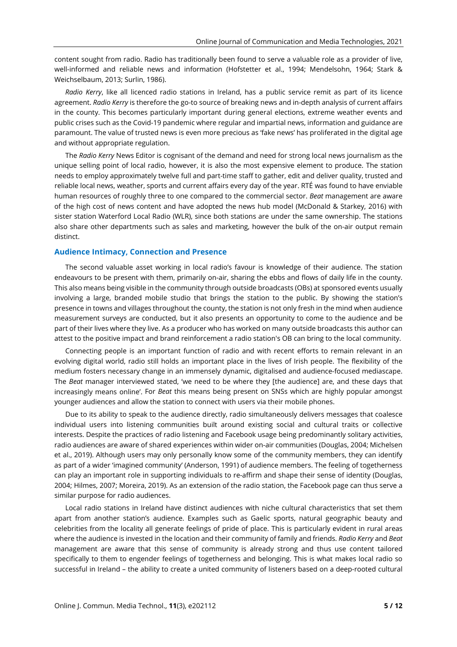content sought from radio. Radio has traditionally been found to serve a valuable role as a provider of live, well-informed and reliable news and information (Hofstetter et al., 1994; Mendelsohn, 1964; Stark & Weichselbaum, 2013; Surlin, 1986).

*Radio Kerry*, like all licenced radio stations in Ireland, has a public service remit as part of its licence agreement. *Radio Kerry* is therefore the go-to source of breaking news and in-depth analysis of current affairs in the county. This becomes particularly important during general elections, extreme weather events and public crises such as the Covid-19 pandemic where regular and impartial news, information and guidance are paramount. The value of trusted news is even more precious as 'fake news' has proliferated in the digital age and without appropriate regulation.

The *Radio Kerry* News Editor is cognisant of the demand and need for strong local news journalism as the unique selling point of local radio, however, it is also the most expensive element to produce. The station needs to employ approximately twelve full and part-time staff to gather, edit and deliver quality, trusted and reliable local news, weather, sports and current affairs every day of the year. RTÉ was found to have enviable human resources of roughly three to one compared to the commercial sector. *Beat* management are aware of the high cost of news content and have adopted the news hub model (McDonald & Starkey, 2016) with sister station Waterford Local Radio (WLR), since both stations are under the same ownership. The stations also share other departments such as sales and marketing, however the bulk of the on-air output remain distinct.

#### **Audience Intimacy, Connection and Presence**

The second valuable asset working in local radio's favour is knowledge of their audience. The station endeavours to be present with them, primarily on-air, sharing the ebbs and flows of daily life in the county. This also means being visible in the community through outside broadcasts (OBs) at sponsored events usually involving a large, branded mobile studio that brings the station to the public. By showing the station's presence in towns and villages throughout the county, the station is not only fresh in the mind when audience measurement surveys are conducted, but it also presents an opportunity to come to the audience and be part of their lives where they live. As a producer who has worked on many outside broadcasts this author can attest to the positive impact and brand reinforcement a radio station's OB can bring to the local community.

Connecting people is an important function of radio and with recent efforts to remain relevant in an evolving digital world, radio still holds an important place in the lives of Irish people. The flexibility of the medium fosters necessary change in an immensely dynamic, digitalised and audience-focused mediascape. The *Beat* manager interviewed stated, 'we need to be where they [the audience] are, and these days that increasingly means online'. For *Beat* this means being present on SNSs which are highly popular amongst younger audiences and allow the station to connect with users via their mobile phones.

Due to its ability to speak to the audience directly, radio simultaneously delivers messages that coalesce individual users into listening communities built around existing social and cultural traits or collective interests. Despite the practices of radio listening and Facebook usage being predominantly solitary activities, radio audiences are aware of shared experiences within wider on-air communities (Douglas, 2004; Michelsen et al., 2019). Although users may only personally know some of the community members, they can identify as part of a wider 'imagined community' (Anderson, 1991) of audience members. The feeling of togetherness can play an important role in supporting individuals to re-affirm and shape their sense of identity (Douglas, 2004; Hilmes, 2007; Moreira, 2019). As an extension of the radio station, the Facebook page can thus serve a similar purpose for radio audiences.

Local radio stations in Ireland have distinct audiences with niche cultural characteristics that set them apart from another station's audience. Examples such as Gaelic sports, natural geographic beauty and celebrities from the locality all generate feelings of pride of place. This is particularly evident in rural areas where the audience is invested in the location and their community of family and friends. *Radio Kerry* and *Beat* management are aware that this sense of community is already strong and thus use content tailored specifically to them to engender feelings of togetherness and belonging. This is what makes local radio so successful in Ireland – the ability to create a united community of listeners based on a deep-rooted cultural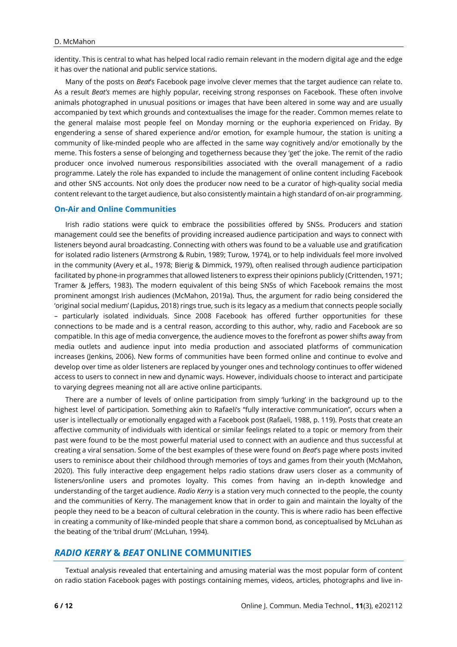identity. This is central to what has helped local radio remain relevant in the modern digital age and the edge it has over the national and public service stations.

Many of the posts on *Beat*'s Facebook page involve clever memes that the target audience can relate to. As a result *Beat's* memes are highly popular, receiving strong responses on Facebook. These often involve animals photographed in unusual positions or images that have been altered in some way and are usually accompanied by text which grounds and contextualises the image for the reader. Common memes relate to the general malaise most people feel on Monday morning or the euphoria experienced on Friday. By engendering a sense of shared experience and/or emotion, for example humour, the station is uniting a community of like-minded people who are affected in the same way cognitively and/or emotionally by the meme. This fosters a sense of belonging and togetherness because they 'get' the joke. The remit of the radio producer once involved numerous responsibilities associated with the overall management of a radio programme. Lately the role has expanded to include the management of online content including Facebook and other SNS accounts. Not only does the producer now need to be a curator of high-quality social media content relevant to the target audience, but also consistently maintain a high standard of on-air programming.

#### **On-Air and Online Communities**

Irish radio stations were quick to embrace the possibilities offered by SNSs. Producers and station management could see the benefits of providing increased audience participation and ways to connect with listeners beyond aural broadcasting. Connecting with others was found to be a valuable use and gratification for isolated radio listeners (Armstrong & Rubin, 1989; Turow, 1974), or to help individuals feel more involved in the community (Avery et al., 1978; Bierig & Dimmick, 1979), often realised through audience participation facilitated by phone-in programmes that allowed listeners to express their opinions publicly (Crittenden, 1971; Tramer & Jeffers, 1983). The modern equivalent of this being SNSs of which Facebook remains the most prominent amongst Irish audiences (McMahon, 2019a). Thus, the argument for radio being considered the 'original social medium' (Lapidus, 2018) rings true, such is its legacy as a medium that connects people socially – particularly isolated individuals. Since 2008 Facebook has offered further opportunities for these connections to be made and is a central reason, according to this author, why, radio and Facebook are so compatible. In this age of media convergence, the audience moves to the forefront as power shifts away from media outlets and audience input into media production and associated platforms of communication increases (Jenkins, 2006). New forms of communities have been formed online and continue to evolve and develop over time as older listeners are replaced by younger ones and technology continues to offer widened access to users to connect in new and dynamic ways. However, individuals choose to interact and participate to varying degrees meaning not all are active online participants.

There are a number of levels of online participation from simply 'lurking' in the background up to the highest level of participation. Something akin to Rafaeli's "fully interactive communication", occurs when a user is intellectually or emotionally engaged with a Facebook post (Rafaeli, 1988, p. 119). Posts that create an affective community of individuals with identical or similar feelings related to a topic or memory from their past were found to be the most powerful material used to connect with an audience and thus successful at creating a viral sensation. Some of the best examples of these were found on *Beat*'s page where posts invited users to reminisce about their childhood through memories of toys and games from their youth (McMahon, 2020). This fully interactive deep engagement helps radio stations draw users closer as a community of listeners/online users and promotes loyalty. This comes from having an in-depth knowledge and understanding of the target audience. *Radio Kerry* is a station very much connected to the people, the county and the communities of Kerry. The management know that in order to gain and maintain the loyalty of the people they need to be a beacon of cultural celebration in the county. This is where radio has been effective in creating a community of like-minded people that share a common bond, as conceptualised by McLuhan as the beating of the 'tribal drum' (McLuhan, 1994).

## *RADIO KERRY* **&** *BEAT* **ONLINE COMMUNITIES**

Textual analysis revealed that entertaining and amusing material was the most popular form of content on radio station Facebook pages with postings containing memes, videos, articles, photographs and live in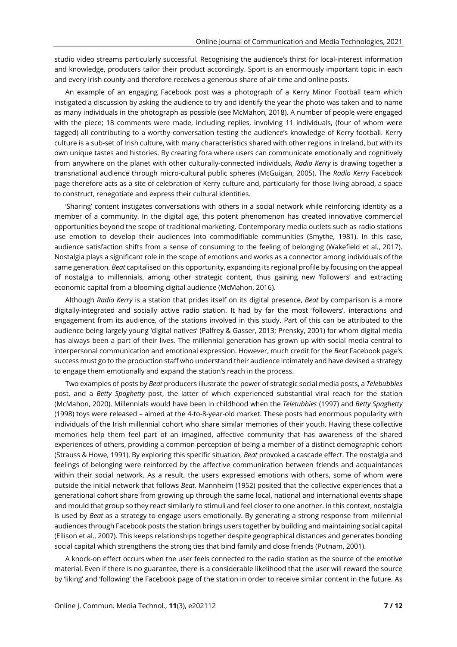studio video streams particularly successful. Recognising the audience's thirst for local-interest information and knowledge, producers tailor their product accordingly. Sport is an enormously important topic in each and every Irish county and therefore receives a generous share of air time and online posts.

An example of an engaging Facebook post was a photograph of a Kerry Minor Football team which instigated a discussion by asking the audience to try and identify the year the photo was taken and to name as many individuals in the photograph as possible (see McMahon, 2018). A number of people were engaged with the piece; 18 comments were made, including replies, involving 11 individuals, (four of whom were tagged) all contributing to a worthy conversation testing the audience's knowledge of Kerry football. Kerry culture is a sub-set of Irish culture, with many characteristics shared with other regions in Ireland, but with its own unique tastes and histories. By creating fora where users can communicate emotionally and cognitively from anywhere on the planet with other culturally-connected individuals, *Radio Kerry* is drawing together a transnational audience through micro-cultural public spheres (McGuigan, 2005). The *Radio Kerry* Facebook page therefore acts as a site of celebration of Kerry culture and, particularly for those living abroad, a space to construct, renegotiate and express their cultural identities.

'Sharing' content instigates conversations with others in a social network while reinforcing identity as a member of a community. In the digital age, this potent phenomenon has created innovative commercial opportunities beyond the scope of traditional marketing. Contemporary media outlets such as radio stations use emotion to develop their audiences into commodifiable communities (Smythe, 1981). In this case, audience satisfaction shifts from a sense of consuming to the feeling of belonging (Wakefield et al., 2017). Nostalgia plays a significant role in the scope of emotions and works as a connector among individuals of the same generation. *Beat* capitalised on this opportunity, expanding its regional profile by focusing on the appeal of nostalgia to millennials, among other strategic content, thus gaining new 'followers' and extracting economic capital from a blooming digital audience (McMahon, 2016).

Although *Radio Kerry* is a station that prides itself on its digital presence, *Beat* by comparison is a more digitally-integrated and socially active radio station. It had by far the most 'followers', interactions and engagement from its audience, of the stations involved in this study. Part of this can be attributed to the audience being largely young 'digital natives' (Palfrey & Gasser, 2013; Prensky, 2001) for whom digital media has always been a part of their lives. The millennial generation has grown up with social media central to interpersonal communication and emotional expression. However, much credit for the *Beat* Facebook page's success must go to the production staff who understand their audience intimately and have devised a strategy to engage them emotionally and expand the station's reach in the process.

Two examples of posts by *Beat* producers illustrate the power of strategic social media posts, a *Telebubbies* post, and a *Betty Spaghetty* post, the latter of which experienced substantial viral reach for the station (McMahon, 2020). Millennials would have been in childhood when the *Teletubbies* (1997) and *Betty Spaghetty* (1998) toys were released – aimed at the 4-to-8-year-old market. These posts had enormous popularity with individuals of the Irish millennial cohort who share similar memories of their youth. Having these collective memories help them feel part of an imagined, affective community that has awareness of the shared experiences of others, providing a common perception of being a member of a distinct demographic cohort (Strauss & Howe, 1991). By exploring this specific situation, *Beat* provoked a cascade effect. The nostalgia and feelings of belonging were reinforced by the affective communication between friends and acquaintances within their social network. As a result, the users expressed emotions with others, some of whom were outside the initial network that follows *Beat.* Mannheim (1952) posited that the collective experiences that a generational cohort share from growing up through the same local, national and international events shape and mould that group so they react similarly to stimuli and feel closer to one another. In this context, nostalgia is used by *Beat* as a strategy to engage users emotionally. By generating a strong response from millennial audiences through Facebook posts the station brings users together by building and maintaining social capital (Ellison et al., 2007). This keeps relationships together despite geographical distances and generates bonding social capital which strengthens the strong ties that bind family and close friends (Putnam, 2001).

A knock-on effect occurs when the user feels connected to the radio station as the source of the emotive material. Even if there is no guarantee, there is a considerable likelihood that the user will reward the source by 'liking' and 'following' the Facebook page of the station in order to receive similar content in the future. As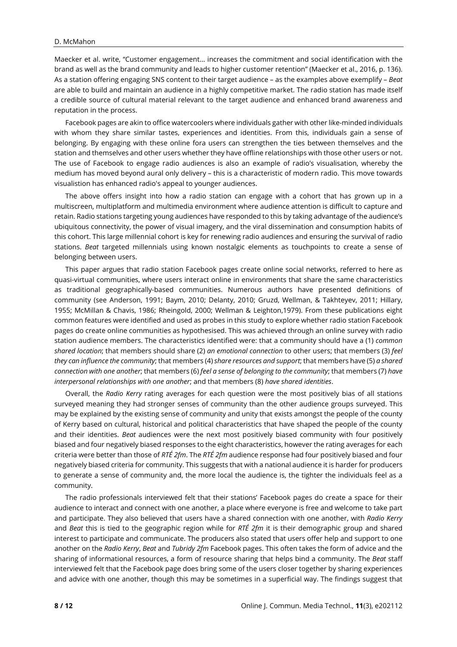#### D. McMahon

Maecker et al. write, "Customer engagement… increases the commitment and social identification with the brand as well as the brand community and leads to higher customer retention" (Maecker et al., 2016, p. 136). As a station offering engaging SNS content to their target audience – as the examples above exemplify – *Beat* are able to build and maintain an audience in a highly competitive market. The radio station has made itself a credible source of cultural material relevant to the target audience and enhanced brand awareness and reputation in the process.

Facebook pages are akin to office watercoolers where individuals gather with other like-minded individuals with whom they share similar tastes, experiences and identities. From this, individuals gain a sense of belonging. By engaging with these online fora users can strengthen the ties between themselves and the station and themselves and other users whether they have offline relationships with those other users or not. The use of Facebook to engage radio audiences is also an example of radio's visualisation, whereby the medium has moved beyond aural only delivery – this is a characteristic of modern radio. This move towards visualistion has enhanced radio's appeal to younger audiences.

The above offers insight into how a radio station can engage with a cohort that has grown up in a multiscreen, multiplatform and multimedia environment where audience attention is difficult to capture and retain. Radio stations targeting young audiences have responded to this by taking advantage of the audience's ubiquitous connectivity, the power of visual imagery, and the viral dissemination and consumption habits of this cohort. This large millennial cohort is key for renewing radio audiences and ensuring the survival of radio stations. *Beat* targeted millennials using known nostalgic elements as touchpoints to create a sense of belonging between users.

This paper argues that radio station Facebook pages create online social networks, referred to here as quasi-virtual communities, where users interact online in environments that share the same characteristics as traditional geographically-based communities. Numerous authors have presented definitions of community (see Anderson, 1991; Baym, 2010; Delanty, 2010; Gruzd, Wellman, & Takhteyev, 2011; Hillary, 1955; McMillan & Chavis, 1986; Rheingold, 2000; Wellman & Leighton,1979). From these publications eight common features were identified and used as probes in this study to explore whether radio station Facebook pages do create online communities as hypothesised. This was achieved through an online survey with radio station audience members. The characteristics identified were: that a community should have a (1) *common shared location*; that members should share (2) *an emotional connection* to other users; that members (3) *feel they can influence the community*; that members (4) *share resources and support*; that members have (5) *a shared connection with one another*; that members (6) *feel a sense of belonging to the community*; that members (7) *have interpersonal relationships with one another*; and that members (8) *have shared identities*.

Overall, the *Radio Kerry* rating averages for each question were the most positively bias of all stations surveyed meaning they had stronger senses of community than the other audience groups surveyed. This may be explained by the existing sense of community and unity that exists amongst the people of the county of Kerry based on cultural, historical and political characteristics that have shaped the people of the county and their identities. *Beat* audiences were the next most positively biased community with four positively biased and four negatively biased responses to the eight characteristics, however the rating averages for each criteria were better than those of *RTÉ 2fm*. The *RTÉ 2fm* audience response had four positively biased and four negatively biased criteria for community. This suggests that with a national audience it is harder for producers to generate a sense of community and, the more local the audience is, the tighter the individuals feel as a community.

The radio professionals interviewed felt that their stations' Facebook pages do create a space for their audience to interact and connect with one another, a place where everyone is free and welcome to take part and participate. They also believed that users have a shared connection with one another, with *Radio Kerry* and *Beat* this is tied to the geographic region while for *RTÉ 2fm* it is their demographic group and shared interest to participate and communicate. The producers also stated that users offer help and support to one another on the *Radio Kerry*, *Beat* and *Tubridy 2fm* Facebook pages. This often takes the form of advice and the sharing of informational resources, a form of resource sharing that helps bind a community. The *Beat* staff interviewed felt that the Facebook page does bring some of the users closer together by sharing experiences and advice with one another, though this may be sometimes in a superficial way. The findings suggest that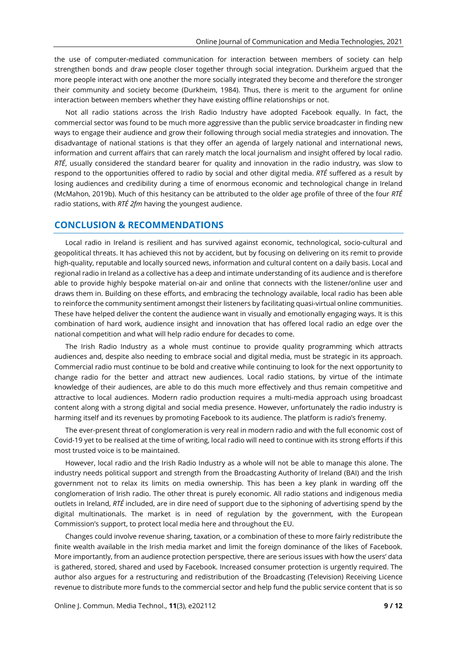the use of computer-mediated communication for interaction between members of society can help strengthen bonds and draw people closer together through social integration. Durkheim argued that the more people interact with one another the more socially integrated they become and therefore the stronger their community and society become (Durkheim, 1984). Thus, there is merit to the argument for online interaction between members whether they have existing offline relationships or not.

Not all radio stations across the Irish Radio Industry have adopted Facebook equally. In fact, the commercial sector was found to be much more aggressive than the public service broadcaster in finding new ways to engage their audience and grow their following through social media strategies and innovation. The disadvantage of national stations is that they offer an agenda of largely national and international news, information and current affairs that can rarely match the local journalism and insight offered by local radio. *RTÉ*, usually considered the standard bearer for quality and innovation in the radio industry, was slow to respond to the opportunities offered to radio by social and other digital media. *RTÉ* suffered as a result by losing audiences and credibility during a time of enormous economic and technological change in Ireland (McMahon, 2019b). Much of this hesitancy can be attributed to the older age profile of three of the four *RTÉ* radio stations, with *RTÉ 2fm* having the youngest audience.

## **CONCLUSION & RECOMMENDATIONS**

Local radio in Ireland is resilient and has survived against economic, technological, socio-cultural and geopolitical threats. It has achieved this not by accident, but by focusing on delivering on its remit to provide high-quality, reputable and locally sourced news, information and cultural content on a daily basis. Local and regional radio in Ireland as a collective has a deep and intimate understanding of its audience and is therefore able to provide highly bespoke material on-air and online that connects with the listener/online user and draws them in. Building on these efforts, and embracing the technology available, local radio has been able to reinforce the community sentiment amongst their listeners by facilitating quasi-virtual online communities. These have helped deliver the content the audience want in visually and emotionally engaging ways. It is this combination of hard work, audience insight and innovation that has offered local radio an edge over the national competition and what will help radio endure for decades to come.

The Irish Radio Industry as a whole must continue to provide quality programming which attracts audiences and, despite also needing to embrace social and digital media, must be strategic in its approach. Commercial radio must continue to be bold and creative while continuing to look for the next opportunity to change radio for the better and attract new audiences. Local radio stations, by virtue of the intimate knowledge of their audiences, are able to do this much more effectively and thus remain competitive and attractive to local audiences. Modern radio production requires a multi-media approach using broadcast content along with a strong digital and social media presence. However, unfortunately the radio industry is harming itself and its revenues by promoting Facebook to its audience. The platform is radio's frenemy.

The ever-present threat of conglomeration is very real in modern radio and with the full economic cost of Covid-19 yet to be realised at the time of writing, local radio will need to continue with its strong efforts if this most trusted voice is to be maintained.

However, local radio and the Irish Radio Industry as a whole will not be able to manage this alone. The industry needs political support and strength from the Broadcasting Authority of Ireland (BAI) and the Irish government not to relax its limits on media ownership. This has been a key plank in warding off the conglomeration of Irish radio. The other threat is purely economic. All radio stations and indigenous media outlets in Ireland, *RTÉ* included, are in dire need of support due to the siphoning of advertising spend by the digital multinationals. The market is in need of regulation by the government, with the European Commission's support, to protect local media here and throughout the EU.

Changes could involve revenue sharing, taxation, or a combination of these to more fairly redistribute the finite wealth available in the Irish media market and limit the foreign dominance of the likes of Facebook. More importantly, from an audience protection perspective, there are serious issues with how the users' data is gathered, stored, shared and used by Facebook. Increased consumer protection is urgently required. The author also argues for a restructuring and redistribution of the Broadcasting (Television) Receiving Licence revenue to distribute more funds to the commercial sector and help fund the public service content that is so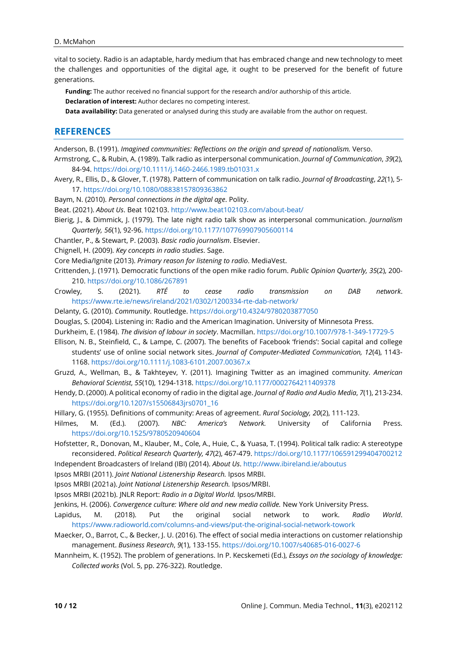vital to society. Radio is an adaptable, hardy medium that has embraced change and new technology to meet the challenges and opportunities of the digital age, it ought to be preserved for the benefit of future generations.

**Funding:** The author received no financial support for the research and/or authorship of this article. **Declaration of interest:** Author declares no competing interest.

**Data availability:** Data generated or analysed during this study are available from the author on request.

## **REFERENCES**

- Anderson, B. (1991). *Imagined communities: Reflections on the origin and spread of nationalism.* Verso. Armstrong, C., & Rubin, A. (1989). Talk radio as interpersonal communication. *Journal of Communication*, *39*(2), 84-94. <https://doi.org/10.1111/j.1460-2466.1989.tb01031.x>
- Avery, R., Ellis, D., & Glover, T. (1978). Pattern of communication on talk radio. *Journal of Broadcasting*, *22*(1), 5- 17. <https://doi.org/10.1080/08838157809363862>
- Baym, N. (2010). *Personal connections in the digital age*. Polity.
- Beat. (2021). *About Us*. Beat 102103. <http://www.beat102103.com/about-beat/>
- Bierig, J., & Dimmick, J. (1979). The late night radio talk show as interpersonal communication. *Journalism Quarterly, 56*(1), 92-96. <https://doi.org/10.1177/107769907905600114>
- Chantler, P., & Stewart, P. (2003). *Basic radio journalism*. Elsevier.

Chignell, H. (2009). *Key concepts in radio studies*. Sage.

Core Media/Ignite (2013). *Primary reason for listening to radio*. MediaVest.

- Crittenden, J. (1971). Democratic functions of the open mike radio forum. *Public Opinion Quarterly, 35*(2), 200- 210. <https://doi.org/10.1086/267891>
- Crowley, S. (2021). *RTÉ to cease radio transmission on DAB network*. <https://www.rte.ie/news/ireland/2021/0302/1200334-rte-dab-network/>
- Delanty, G. (2010). *Community*. Routledge. <https://doi.org/10.4324/9780203877050>
- Douglas, S. (2004). Listening in: Radio and the American Imagination. University of Minnesota Press.
- Durkheim, E. (1984). *The division of labour in society*. Macmillan. <https://doi.org/10.1007/978-1-349-17729-5>
- Ellison, N. B., Steinfield, C., & Lampe, C. (2007). The benefits of Facebook 'friends': Social capital and college students' use of online social network sites. *Journal of Computer-Mediated Communication, 12*(4), 1143- 1168. <https://doi.org/10.1111/j.1083-6101.2007.00367.x>
- Gruzd, A., Wellman, B., & Takhteyev, Y. (2011). Imagining Twitter as an imagined community. *American Behavioral Scientist*, *55*(10), 1294-1318. <https://doi.org/10.1177/0002764211409378>
- Hendy, D. (2000). A political economy of radio in the digital age. *Journal of Radio and Audio Media*, *7*(1), 213-234. [https://doi.org/10.1207/s15506843jrs0701\\_16](https://doi.org/10.1207/s15506843jrs0701_16)
- Hillary, G. (1955). Definitions of community: Areas of agreement. *Rural Sociology, 20*(2), 111-123.
- Hilmes, M. (Ed.). (2007). *NBC: America's Network.* University of California Press. <https://doi.org/10.1525/9780520940604>
- Hofstetter, R., Donovan, M., Klauber, M., Cole, A., Huie, C., & Yuasa, T. (1994). Political talk radio: A stereotype reconsidered. *Political Research Quarterly, 47*(2), 467-479. <https://doi.org/10.1177/106591299404700212> Independent Broadcasters of Ireland (IBI) (2014). *About Us*. <http://www.ibireland.ie/aboutus>
- Ipsos MRBI (2011). *Joint National Listenership Research.* Ipsos MRBI.
- Ipsos MRBI (2021a). *Joint National Listenership Research.* Ipsos/MRBI.
- Ipsos MRBI (2021b). JNLR Report: *Radio in a Digital World.* Ipsos/MRBI.
- Jenkins, H. (2006). *Convergence culture: Where old and new media collide.* New York University Press.
- Lapidus, M. (2018). Put the original social network to work. *Radio World*. <https://www.radioworld.com/columns-and-views/put-the-original-social-network-towork>
- Maecker, O., Barrot, C., & Becker, J. U. (2016). The effect of social media interactions on customer relationship management. *Business Research*, *9*(1), 133-155. <https://doi.org/10.1007/s40685-016-0027-6>
- Mannheim, K. (1952). The problem of generations. In P. Kecskemeti (Ed.), *Essays on the sociology of knowledge: Collected works* (Vol. 5, pp. 276-322). Routledge.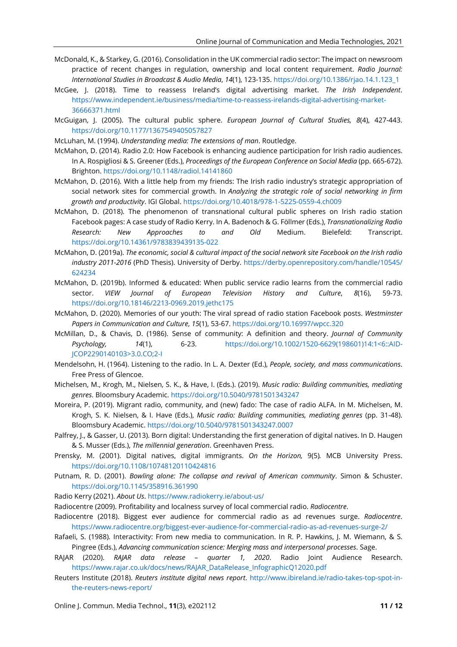- McDonald, K., & Starkey, G. (2016). Consolidation in the UK commercial radio sector: The impact on newsroom practice of recent changes in regulation, ownership and local content requirement. *Radio Journal: International Studies in Broadcast & Audio Media*, *14*(1), 123-135. [https://doi.org/10.1386/rjao.14.1.123\\_1](https://doi.org/10.1386/rjao.14.1.123_1)
- McGee, J. (2018). Time to reassess Ireland's digital advertising market. *The Irish Independent*. [https://www.independent.ie/business/media/time-to-reassess-irelands-digital-advertising-market-](https://www.independent.ie/business/media/time-to-reassess-irelands-digital-advertising-market-36666371.html)[36666371.html](https://www.independent.ie/business/media/time-to-reassess-irelands-digital-advertising-market-36666371.html)
- McGuigan, J. (2005). The cultural public sphere. *European Journal of Cultural Studies, 8*(4), 427-443. <https://doi.org/10.1177/1367549405057827>
- McLuhan, M. (1994). *Understanding media: The extensions of man*. Routledge.
- McMahon, D. (2014). Radio 2.0: How Facebook is enhancing audience participation for Irish radio audiences. In A. Rospigliosi & S. Greener (Eds.), *Proceedings of the European Conference on Social Media* (pp. 665-672). Brighton. <https://doi.org/10.1148/radiol.14141860>
- McMahon, D. (2016). With a little help from my friends: The Irish radio industry's strategic appropriation of social network sites for commercial growth. In *Analyzing the strategic role of social networking in firm growth and productivity*. IGI Global. <https://doi.org/10.4018/978-1-5225-0559-4.ch009>
- McMahon, D. (2018). The phenomenon of transnational cultural public spheres on Irish radio station Facebook pages: A case study of Radio Kerry. In A. Badenoch & G. Föllmer (Eds.), *Transnationalizing Radio Research: New Approaches to and Old* Medium. Bielefeld: Transcript. <https://doi.org/10.14361/9783839439135-022>
- McMahon, D. (2019a). The economic, social & cultural impact of the social network site Facebook on the Irish radio *industry 2011-2016* (PhD Thesis). University of Derby. [https://derby.openrepository.com/handle/10545/](https://derby.openrepository.com/handle/10545/624234) [624234](https://derby.openrepository.com/handle/10545/624234)
- McMahon, D. (2019b). Informed & educated: When public service radio learns from the commercial radio sector. *VIEW Journal of European Television History and Culture*, *8*(16), 59-73. <https://doi.org/10.18146/2213-0969.2019.jethc175>
- McMahon, D. (2020). Memories of our youth: The viral spread of radio station Facebook posts. *Westminster Papers in Communication and Culture*, *15*(1), 53-67. <https://doi.org/10.16997/wpcc.320>
- McMillan, D., & Chavis, D. (1986). Sense of community: A definition and theory. *Journal of Community Psychology, 14*(1), 6-23. [https://doi.org/10.1002/1520-6629\(198601\)14:1<6::AID-](https://doi.org/10.1002/1520-6629(198601)14:1%3C6::AID-JCOP2290140103%3E3.0.CO;2-I)[JCOP2290140103>3.0.CO;2-I](https://doi.org/10.1002/1520-6629(198601)14:1%3C6::AID-JCOP2290140103%3E3.0.CO;2-I)
- Mendelsohn, H. (1964). Listening to the radio. In L. A. Dexter (Ed.), *People, society, and mass communications*. Free Press of Glencoe.
- Michelsen, M., Krogh, M., Nielsen, S. K., & Have, I. (Eds.). (2019). *Music radio: Building communities, mediating genres*. Bloomsbury Academic. <https://doi.org/10.5040/9781501343247>
- Moreira, P. (2019). Migrant radio, community, and (new) fado: The case of radio ALFA. In M. Michelsen, M. Krogh, S. K. Nielsen, & I. Have (Eds.), *Music radio: Building communities, mediating genres* (pp. 31-48). Bloomsbury Academic. <https://doi.org/10.5040/9781501343247.0007>
- Palfrey, J., & Gasser, U. (2013). Born digital: Understanding the first generation of digital natives. In D. Haugen & S. Musser (Eds.), *The millennial generation*. Greenhaven Press.
- Prensky, M. (2001). Digital natives, digital immigrants. *On the Horizon,* 9(5)*.* MCB University Press. <https://doi.org/10.1108/10748120110424816>
- Putnam, R. D. (2001). *Bowling alone: The collapse and revival of American community*. Simon & Schuster. <https://doi.org/10.1145/358916.361990>
- Radio Kerry (2021). *About Us*. <https://www.radiokerry.ie/about-us/>
- Radiocentre (2009). Profitability and localness survey of local commercial radio. *Radiocentre*.
- Radiocentre (2018). Biggest ever audience for commercial radio as ad revenues surge. *Radiocentre*. <https://www.radiocentre.org/biggest-ever-audience-for-commercial-radio-as-ad-revenues-surge-2/>
- Rafaeli, S. (1988). Interactivity: From new media to communication. In R. P. Hawkins, J. M. Wiemann, & S. Pingree (Eds.), *Advancing communication science: Merging mass and interpersonal processes*. Sage.
- RAJAR (2020). *RAJAR data release – quarter 1, 2020*. Radio Joint Audience Research. [https://www.rajar.co.uk/docs/news/RAJAR\\_DataRelease\\_InfographicQ12020.pdf](https://www.rajar.co.uk/docs/news/RAJAR_DataRelease_InfographicQ12020.pdf)
- Reuters Institute (2018). *Reuters institute digital news report*. [http://www.ibireland.ie/radio-takes-top-spot-in](http://www.ibireland.ie/radio-takes-top-spot-in-the-reuters-news-report/)[the-reuters-news-report/](http://www.ibireland.ie/radio-takes-top-spot-in-the-reuters-news-report/)

Online J. Commun. Media Technol., **11**(3), e202112 **11 / 12**